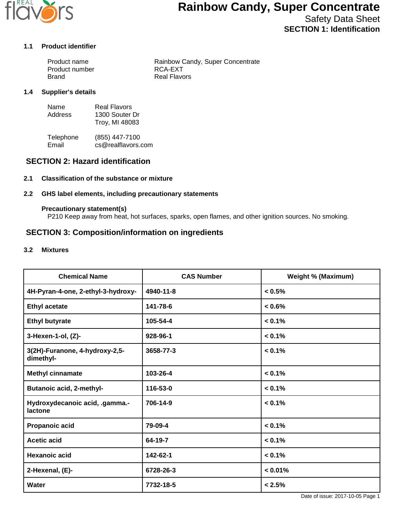

Safety Data Sheet **SECTION 1: Identification**

## **1.1 Product identifier**

| Product name   | Rainbow Candy, Super Concentrate |
|----------------|----------------------------------|
| Product number | RCA-EXT                          |
| Brand          | Real Flavors                     |

#### **1.4 Supplier's details**

| Name    | Real Flavors   |
|---------|----------------|
| Address | 1300 Souter Dr |
|         | Troy, MI 48083 |

Telephone (855) 447-7100<br>Email cs@realflavors. cs@realflavors.com

## **SECTION 2: Hazard identification**

#### **2.1 Classification of the substance or mixture**

#### **2.2 GHS label elements, including precautionary statements**

#### **Precautionary statement(s)**

P210 Keep away from heat, hot surfaces, sparks, open flames, and other ignition sources. No smoking.

## **SECTION 3: Composition/information on ingredients**

#### **3.2 Mixtures**

| <b>Chemical Name</b>                        | <b>CAS Number</b> | <b>Weight % (Maximum)</b> |
|---------------------------------------------|-------------------|---------------------------|
| 4H-Pyran-4-one, 2-ethyl-3-hydroxy-          | 4940-11-8         | < 0.5%                    |
| <b>Ethyl acetate</b>                        | 141-78-6          | $< 0.6\%$                 |
| <b>Ethyl butyrate</b>                       | 105-54-4          | $< 0.1\%$                 |
| 3-Hexen-1-ol, (Z)-                          | 928-96-1          | < 0.1%                    |
| 3(2H)-Furanone, 4-hydroxy-2,5-<br>dimethyl- | 3658-77-3         | $< 0.1\%$                 |
| <b>Methyl cinnamate</b>                     | 103-26-4          | $< 0.1\%$                 |
| <b>Butanoic acid, 2-methyl-</b>             | 116-53-0          | $< 0.1\%$                 |
| Hydroxydecanoic acid, .gamma.-<br>lactone   | 706-14-9          | $< 0.1\%$                 |
| Propanoic acid                              | 79-09-4           | $< 0.1\%$                 |
| <b>Acetic acid</b>                          | 64-19-7           | $< 0.1\%$                 |
| <b>Hexanoic acid</b>                        | 142-62-1          | $< 0.1\%$                 |
| 2-Hexenal, (E)-                             | 6728-26-3         | $< 0.01\%$                |
| Water                                       | 7732-18-5         | < 2.5%                    |

Date of issue: 2017-10-05 Page 1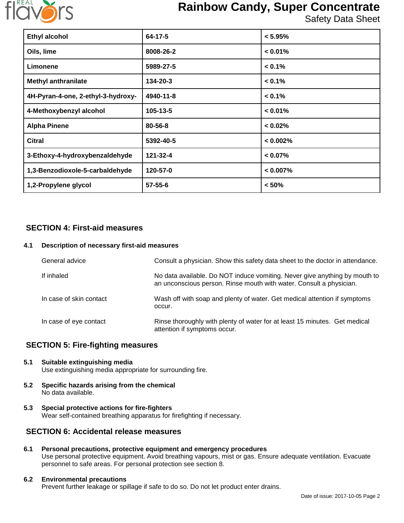

Safety Data Sheet

| <b>Ethyl alcohol</b>               | 64-17-5       | $< 5.95\%$  |
|------------------------------------|---------------|-------------|
| Oils, lime                         | 8008-26-2     | $< 0.01\%$  |
| Limonene                           | 5989-27-5     | $< 0.1\%$   |
| <b>Methyl anthranilate</b>         | 134-20-3      | $< 0.1\%$   |
| 4H-Pyran-4-one, 2-ethyl-3-hydroxy- | 4940-11-8     | $< 0.1\%$   |
| 4-Methoxybenzyl alcohol            | 105-13-5      | $< 0.01\%$  |
| <b>Alpha Pinene</b>                | 80-56-8       | $< 0.02\%$  |
| <b>Citral</b>                      | 5392-40-5     | < 0.002%    |
| 3-Ethoxy-4-hydroxybenzaldehyde     | 121-32-4      | $< 0.07\%$  |
| 1,3-Benzodioxole-5-carbaldehyde    | 120-57-0      | $< 0.007\%$ |
| 1,2-Propylene glycol               | $57 - 55 - 6$ | < 50%       |

## **SECTION 4: First-aid measures**

#### **4.1 Description of necessary first-aid measures**

| General advice          | Consult a physician. Show this safety data sheet to the doctor in attendance.                                                                     |
|-------------------------|---------------------------------------------------------------------------------------------------------------------------------------------------|
| If inhaled              | No data available. Do NOT induce vomiting. Never give anything by mouth to<br>an unconscious person. Rinse mouth with water. Consult a physician. |
| In case of skin contact | Wash off with soap and plenty of water. Get medical attention if symptoms<br>occur.                                                               |
| In case of eye contact  | Rinse thoroughly with plenty of water for at least 15 minutes. Get medical<br>attention if symptoms occur.                                        |

## **SECTION 5: Fire-fighting measures**

## **5.1 Suitable extinguishing media**

Use extinguishing media appropriate for surrounding fire.

- **5.2 Specific hazards arising from the chemical** No data available.
- **5.3 Special protective actions for fire-fighters** Wear self-contained breathing apparatus for firefighting if necessary.

## **SECTION 6: Accidental release measures**

**6.1 Personal precautions, protective equipment and emergency procedures** Use personal protective equipment. Avoid breathing vapours, mist or gas. Ensure adequate ventilation. Evacuate personnel to safe areas. For personal protection see section 8.

#### **6.2 Environmental precautions**

Prevent further leakage or spillage if safe to do so. Do not let product enter drains.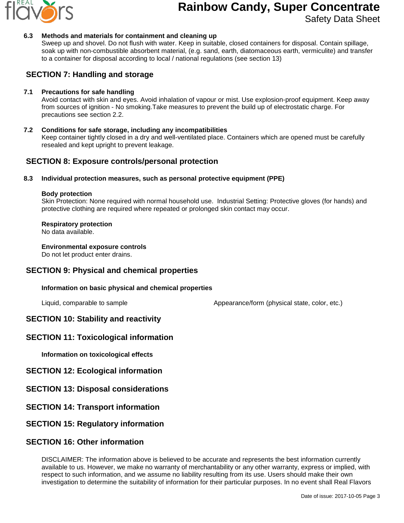

Safety Data Sheet

#### **6.3 Methods and materials for containment and cleaning up**

Sweep up and shovel. Do not flush with water. Keep in suitable, closed containers for disposal. Contain spillage, soak up with non-combustible absorbent material, (e.g. sand, earth, diatomaceous earth, vermiculite) and transfer to a container for disposal according to local / national regulations (see section 13)

## **SECTION 7: Handling and storage**

#### **7.1 Precautions for safe handling**

Avoid contact with skin and eyes. Avoid inhalation of vapour or mist. Use explosion-proof equipment. Keep away from sources of ignition - No smoking.Take measures to prevent the build up of electrostatic charge. For precautions see section 2.2.

**7.2 Conditions for safe storage, including any incompatibilities** Keep container tightly closed in a dry and well-ventilated place. Containers which are opened must be carefully resealed and kept upright to prevent leakage.

## **SECTION 8: Exposure controls/personal protection**

#### **8.3 Individual protection measures, such as personal protective equipment (PPE)**

#### **Body protection**

Skin Protection: None required with normal household use. Industrial Setting: Protective gloves (for hands) and protective clothing are required where repeated or prolonged skin contact may occur.

#### **Respiratory protection**

No data available.

#### **Environmental exposure controls**

Do not let product enter drains.

## **SECTION 9: Physical and chemical properties**

#### **Information on basic physical and chemical properties**

Liquid, comparable to sample  $\blacksquare$  Appearance/form (physical state, color, etc.)

## **SECTION 10: Stability and reactivity**

## **SECTION 11: Toxicological information**

**Information on toxicological effects**

## **SECTION 12: Ecological information**

- **SECTION 13: Disposal considerations**
- **SECTION 14: Transport information**

## **SECTION 15: Regulatory information**

## **SECTION 16: Other information**

DISCLAIMER: The information above is believed to be accurate and represents the best information currently available to us. However, we make no warranty of merchantability or any other warranty, express or implied, with respect to such information, and we assume no liability resulting from its use. Users should make their own investigation to determine the suitability of information for their particular purposes. In no event shall Real Flavors